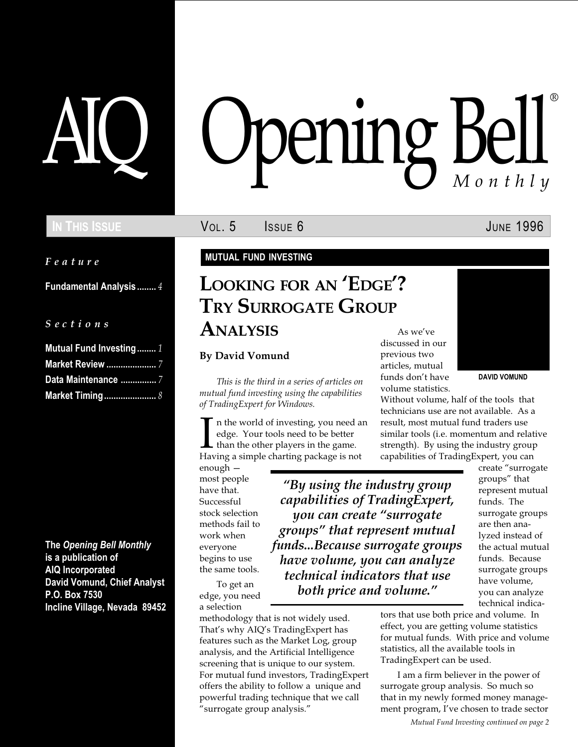Feature

Fundamental Analysis ........ 4

S e c t i o n s

| Mutual Fund Investing 1 |  |
|-------------------------|--|
| <b>Market Review </b> 7 |  |
|                         |  |
|                         |  |

The Opening Bell Monthly is a publication of AIQ Incorporated David Vomund, Chief Analyst P.O. Box 7530 Incline Village, Nevada 89452

# pening Bell ®

IN THIS ISSUE **In the UVICE 1998** Vol. 5 ISSUE 6 ISSUE 1996

### MUTUAL FUND INVESTING

## LOOKING FOR AN 'EDGE'? TRY SURROGATE GROUP ANALYSIS

#### By David Vomund

This is the third in a series of articles on mutual fund investing using the capabilities of TradingExpert for Windows.

In the world of investing, you need a edge. Your tools need to be better than the other players in the game.<br>Having a simple charting package is not n the world of investing, you need an edge. Your tools need to be better  $\blacksquare$  than the other players in the game.

enough most people have that. Successful stock selection methods fail to work when everyone begins to use the same tools.

To get an edge, you need a selection

methodology that is not widely used. That's why AIQ's TradingExpert has features such as the Market Log, group analysis, and the Artificial Intelligence screening that is unique to our system. For mutual fund investors, TradingExpert offers the ability to follow a unique and powerful trading technique that we call surrogate group analysis.

As we've discussed in our previous two articles, mutual funds don't have volume statistics.



DAVID VOMUND

Without volume, half of the tools that technicians use are not available. As a result, most mutual fund traders use similar tools (i.e. momentum and relative strength). By using the industry group capabilities of TradingExpert, you can

By using the industry group capabilities of TradingExpert, you can create "surrogate groups" that represent mutual funds...Because surrogate groups have volume, you can analyze technical indicators that use both price and volume."

create "surrogate groups" that represent mutual funds. The surrogate groups are then analyzed instead of the actual mutual funds. Because surrogate groups have volume, you can analyze technical indica-

tors that use both price and volume. In effect, you are getting volume statistics for mutual funds. With price and volume statistics, all the available tools in TradingExpert can be used.

I am a firm believer in the power of surrogate group analysis. So much so that in my newly formed money management program, I've chosen to trade sector

Mutual Fund Investing continued on page 2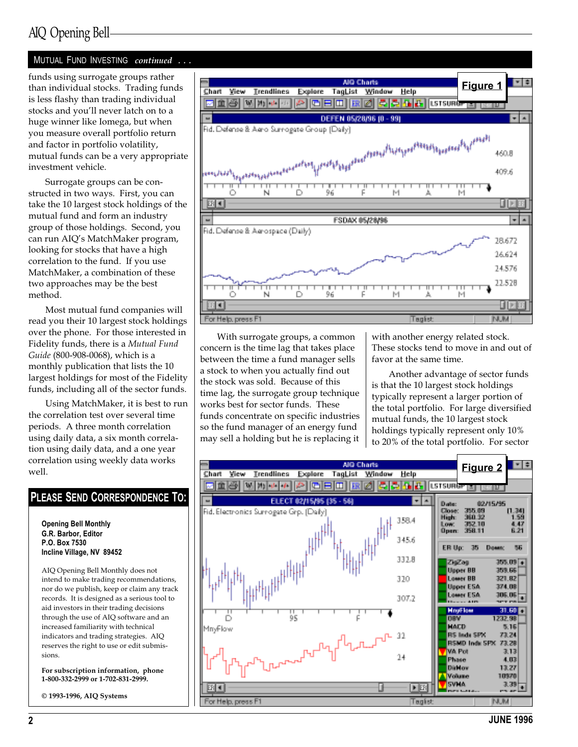#### MUTUAL FUND INVESTING continued ...

is less flashy than trading individual stocks and you'll never latch on to a huge winner like Iomega, but when you measure overall portfolio return and factor in portfolio volatility, mutual funds can be a very appropriate investment vehicle.

Surrogate groups can be constructed in two ways. First, you can take the 10 largest stock holdings of the mutual fund and form an industry group of those holdings. Second, you can run AIQ's MatchMaker program, looking for stocks that have a high correlation to the fund. If you use MatchMaker, a combination of these two approaches may be the best method.

Most mutual fund companies will read you their 10 largest stock holdings over the phone. For those interested in Fidelity funds, there is a Mutual Fund Guide (800-908-0068), which is a monthly publication that lists the 10 largest holdings for most of the Fidelity funds, including all of the sector funds.

Using MatchMaker, it is best to run the correlation test over several time periods. A three month correlation using daily data, a six month correlation using daily data, and a one year correlation using weekly data works

#### PLEASE SEND CORRESPONDENCE TO:

Opening Bell Monthly G.R. Barbor, Editor P.O. Box 7530 Incline Village, NV 89452

AIQ Opening Bell Monthly does not intend to make trading recommendations, nor do we publish, keep or claim any track records. It is designed as a serious tool to aid investors in their trading decisions through the use of AIQ software and an increased familiarity with technical indicators and trading strategies. AIQ reserves the right to use or edit submissions.

For subscription information, phone 1-800-332-2999 or 1-702-831-2999.

© 1993-1996, AIQ Systems



With surrogate groups, a common concern is the time lag that takes place between the time a fund manager sells a stock to when you actually find out the stock was sold. Because of this time lag, the surrogate group technique works best for sector funds. These funds concentrate on specific industries so the fund manager of an energy fund may sell a holding but he is replacing it

with another energy related stock. These stocks tend to move in and out of favor at the same time.

Another advantage of sector funds is that the 10 largest stock holdings typically represent a larger portion of the total portfolio. For large diversified mutual funds, the 10 largest stock holdings typically represent only 10% to 20% of the total portfolio. For sector

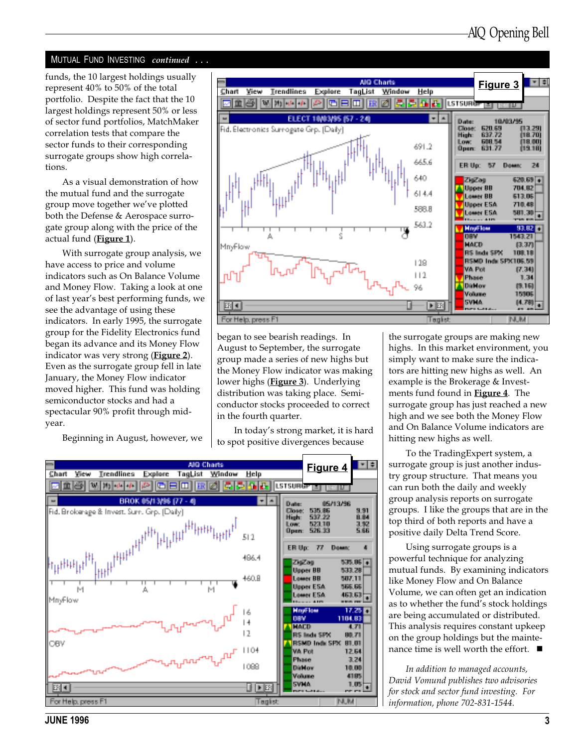#### MUTUAL FUND INVESTING continued ...

funds, the 10 largest holdings usually represent 40% to 50% of the total portfolio. Despite the fact that the 10 largest holdings represent 50% or less of sector fund portfolios, MatchMaker correlation tests that compare the sector funds to their corresponding surrogate groups show high correlations.

As a visual demonstration of how the mutual fund and the surrogate group move together we've plotted both the Defense & Aerospace surrogate group along with the price of the actual fund (Figure 1).

With surrogate group analysis, we have access to price and volume indicators such as On Balance Volume and Money Flow. Taking a look at one of last year's best performing funds, we see the advantage of using these indicators. In early 1995, the surrogate group for the Fidelity Electronics fund began its advance and its Money Flow indicator was very strong (**Figure 2**). Even as the surrogate group fell in late January, the Money Flow indicator moved higher. This fund was holding semiconductor stocks and had a spectacular 90% profit through midyear.

Beginning in August, however, we



began to see bearish readings. In August to September, the surrogate group made a series of new highs but the Money Flow indicator was making lower highs (*Figure 3*). Underlying distribution was taking place. Semiconductor stocks proceeded to correct in the fourth quarter.

In today's strong market, it is hard to spot positive divergences because



the surrogate groups are making new highs. In this market environment, you simply want to make sure the indicators are hitting new highs as well. An example is the Brokerage & Investments fund found in **Figure 4**. The surrogate group has just reached a new high and we see both the Money Flow and On Balance Volume indicators are hitting new highs as well.

To the TradingExpert system, a surrogate group is just another industry group structure. That means you can run both the daily and weekly group analysis reports on surrogate groups. I like the groups that are in the top third of both reports and have a positive daily Delta Trend Score.

Using surrogate groups is a powerful technique for analyzing mutual funds. By examining indicators like Money Flow and On Balance Volume, we can often get an indication as to whether the fund's stock holdings are being accumulated or distributed. This analysis requires constant upkeep on the group holdings but the maintenance time is well worth the effort.  $\blacksquare$ 

In addition to managed accounts, David Vomund publishes two advisories for stock and sector fund investing. For information, phone 702-831-1544.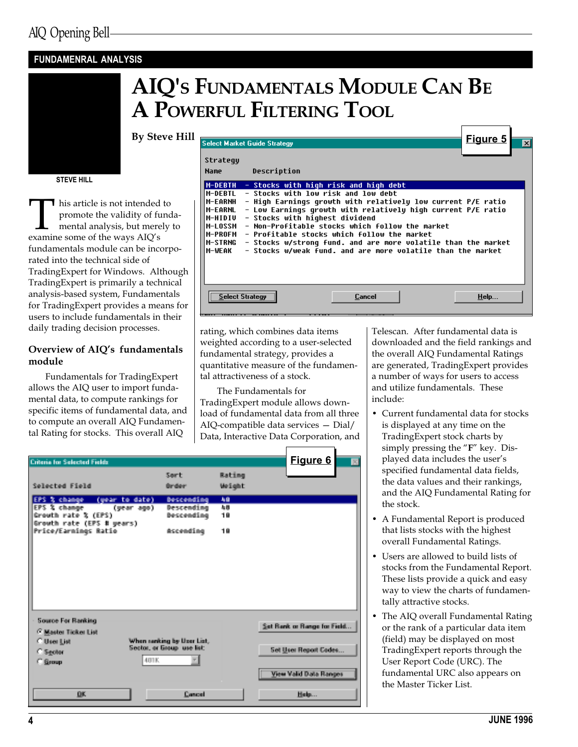## AIQ Opening Bell

### FUNDAMENRAL ANALYSIS



#### STEVE HILL

This article is not intended to promote the validity of function mental analysis, but merely examine some of the ways AIQ's promote the validity of fundamental analysis, but merely to fundamentals module can be incorporated into the technical side of TradingExpert for Windows. Although TradingExpert is primarily a technical analysis-based system, Fundamentals for TradingExpert provides a means for users to include fundamentals in their daily trading decision processes.

By Steve Hill

#### Overview of AIQ's fundamentals module

Fundamentals for TradingExpert allows the AIQ user to import fundamental data, to compute rankings for specific items of fundamental data, and to compute an overall AIQ Fundamental Rating for stocks. This overall AIQ

| Select Market Guide Strategy                                                                                                                                                                                                                                                                                                                                                                                                                                                                                                                                                                     | Figure 5 |  |  |  |  |  |  |  |
|--------------------------------------------------------------------------------------------------------------------------------------------------------------------------------------------------------------------------------------------------------------------------------------------------------------------------------------------------------------------------------------------------------------------------------------------------------------------------------------------------------------------------------------------------------------------------------------------------|----------|--|--|--|--|--|--|--|
| Strategy<br>Description<br>Name                                                                                                                                                                                                                                                                                                                                                                                                                                                                                                                                                                  |          |  |  |  |  |  |  |  |
| M-DEBTH<br>- Stocks with high risk and high debt<br>- Stocks with low risk and low debt<br><b>M-DEBTL</b><br>- High Earnings growth with relatively low current P/E ratio<br>M-EARNH<br>- Low Earnings growth with relatively high current P/E ratio<br>M-EARNL<br>- Stocks with highest dividend<br><b>M-HIDIU</b><br>- Non-Profitable stocks which follow the market<br>M-LOSSM<br>- Profitable stocks which follow the market<br>M-PROFM<br>M-STRNG<br>- Stocks w/stronq fund. and are more volatile than the market<br>- Stocks w/weak fund. and are more volatile than the market<br>M-WEAK |          |  |  |  |  |  |  |  |
| Select Strategy<br>Cancel                                                                                                                                                                                                                                                                                                                                                                                                                                                                                                                                                                        | Help     |  |  |  |  |  |  |  |

AIQ'S FUNDAMENTALS MODULE CAN BE

A POWERFUL FILTERING TOOL

rating, which combines data items weighted according to a user-selected fundamental strategy, provides a quantitative measure of the fundamental attractiveness of a stock.

The Fundamentals for TradingExpert module allows download of fundamental data from all three  $AIQ$ -compatible data services  $-$  Dial/ Data, Interactive Data Corporation, and Telescan. After fundamental data is downloaded and the field rankings and the overall AIQ Fundamental Ratings are generated, TradingExpert provides a number of ways for users to access and utilize fundamentals. These include:

- Current fundamental data for stocks is displayed at any time on the TradingExpert stock charts by simply pressing the " $F$ " key. Displayed data includes the user's specified fundamental data fields, the data values and their rankings, and the AIQ Fundamental Rating for the stock.
- A Fundamental Report is produced that lists stocks with the highest overall Fundamental Ratings.
- Users are allowed to build lists of stocks from the Fundamental Report. These lists provide a quick and easy way to view the charts of fundamentally attractive stocks.
- The AIQ overall Fundamental Rating or the rank of a particular data item (field) may be displayed on most TradingExpert reports through the User Report Code (URC). The fundamental URC also appears on the Master Ticker List.

| <b>Criteria for Selected Fields:</b>                                                                                                  |                                                                                 |                       | Figure 6<br><b>BR</b>                                                          |
|---------------------------------------------------------------------------------------------------------------------------------------|---------------------------------------------------------------------------------|-----------------------|--------------------------------------------------------------------------------|
| Sellected Field                                                                                                                       | Sert.<br>firster.                                                               | Esting<br>Weight      |                                                                                |
| (gear to date)<br><b>X change</b><br>EFS.<br>EPS & change<br>Grouth rate & (EPS)<br>Growth rate (EFS # pears)<br>Price/Earnings Ratio | <b>Bescending</b><br><b>Descending</b><br>(sear ago)<br>Descending<br>Accouding | 48<br>長目<br>18<br>18. |                                                                                |
| <b>Source For Ranking</b><br><sup>2</sup> Master Ticker List<br><b>Citizen List</b><br>C Seoter<br><b>C</b> Brown                     | When sanking by Uper List.<br>Sector, or Group, use list:<br><b>AUTIK</b>       |                       | Set Bank or Bance for Field<br>Set User Report Codes<br>View Valid Data Ranges |
| <b>OK</b>                                                                                                                             | Cancel                                                                          |                       | Help                                                                           |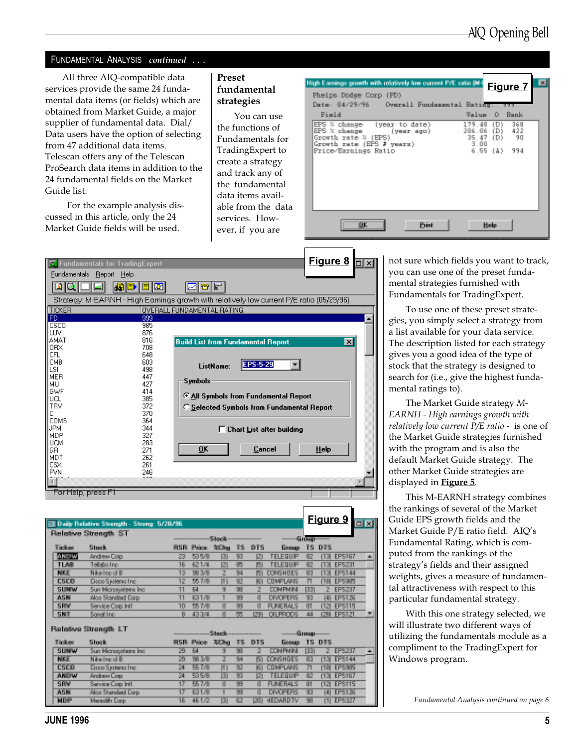#### FUNDAMENTAL ANALYSIS continued ...

All three AIQ-compatible data services provide the same 24 fundamental data items (or fields) which are obtained from Market Guide, a major supplier of fundamental data. Dial/ Data users have the option of selecting from 47 additional data items. Telescan offers any of the Telescan ProSearch data items in addition to the 24 fundamental fields on the Market Guide list.

 For the example analysis discussed in this article, only the 24 Market Guide fields will be used.

#### Preset fundamental strategies

You can use the functions of Fundamentals for TradingExpert to create a strategy and track any of the fundamental data items available from the data services. However, if you are

| High Eamings growth with relatively low current P/E ratio (M-<br>Phelps Dodge Corp (PD)                         | Rating:                                  |                    | Figure 7<br>フフフ    | 図 |
|-----------------------------------------------------------------------------------------------------------------|------------------------------------------|--------------------|--------------------|---|
| Field                                                                                                           | Value 0.                                 |                    | <b>Rank</b>        |   |
| EPS X obabge - (vear to date)<br>EPS X change<br>(year ago)<br>Growth rate % (EPS)<br>Growth rate (EPS # years) | 48<br>9.<br>206.06<br>35.47<br>з.<br>.nn | ID).<br>(D)<br>(D) | 369<br>422<br>- 90 |   |
| Frice-Earnings Eatio                                                                                            | 6.55                                     | få) –              | 994                |   |
|                                                                                                                 |                                          |                    |                    |   |
|                                                                                                                 |                                          |                    |                    |   |
|                                                                                                                 |                                          |                    |                    |   |
| <b>OK</b><br><b>Print</b>                                                                                       |                                          | High-              |                    |   |

| <b>Q'</b> Fundamentals for TradingExpert     | Figure 8<br>$\overline{\Box}$                                                             |
|----------------------------------------------|-------------------------------------------------------------------------------------------|
| Fundamentals Report Help                     |                                                                                           |
| 面図<br>畾<br>۱m<br>ad)<br>⊫                    | 8 F                                                                                       |
|                                              |                                                                                           |
|                                              | Strategy: M-EARNH - High Earnings growth with relatively low current P/E ratio (05/29/96) |
| <b>TICKER</b>                                | OVERALL FUNDAMENTAL RATING                                                                |
| PD.<br>999<br><b>CSCO</b><br>985             |                                                                                           |
| LUV<br>876                                   |                                                                                           |
| 816<br>AMAT                                  | $\vert x \vert$<br><b>Build List from Fundamental Report</b>                              |
| 0RX<br>708                                   |                                                                                           |
| CFL<br>648<br>603                            |                                                                                           |
| CMB<br>LSI<br>498                            | <b>EPS-5-29</b><br>ListName:                                                              |
| <b>MER</b><br>447                            |                                                                                           |
| 427<br>MU                                    | <b>Symbols</b>                                                                            |
| GWF<br>414                                   | C All Symbols from Fundamental Report                                                     |
| 385<br>UCL<br>372<br><b>TRV</b>              |                                                                                           |
| C<br>370                                     | C Selected Symbols from Fundamental Report                                                |
| <b>COMS</b><br>364                           |                                                                                           |
| 344<br>JPM                                   | $\Box$ Chart List after building                                                          |
| MDP<br>327                                   |                                                                                           |
| 283<br><b>UCM</b><br>GR.<br>271              | <b>OK</b><br>Cancel<br>Help                                                               |
| 262<br>MDT                                   |                                                                                           |
| CSX<br>261                                   |                                                                                           |
| 246<br>PVN                                   |                                                                                           |
|                                              |                                                                                           |
| For Help, press F1                           |                                                                                           |
|                                              |                                                                                           |
|                                              |                                                                                           |
| Ell Daily Relative Strength - Streng 5/28/56 | <u>Figure 9</u><br>回风                                                                     |
| <b>Relative Strength ST</b>                  |                                                                                           |
|                                              | 61050*****                                                                                |
| Tuckson<br>Stock                             | <b>TS DTS</b><br>DTS<br>896 Frice I<br>30. Bra<br>13.<br><b>Beauer</b>                    |

| <b>ASTOV</b> | Andrew Corp.          | Z3  | 535/B   | IJТ | 33 | RТ   | TELEQUIP        | 82  | па   | EP5167        | ia.          |
|--------------|-----------------------|-----|---------|-----|----|------|-----------------|-----|------|---------------|--------------|
| TLAB         | Tellabelino           | 16  | 521/4   | RΙ  | शत | κĪ   | <b>TELEQUIP</b> | 82  | па   | <b>EP5231</b> |              |
| <b>NEUE</b>  | Nike Ing at B.        | 13  | BB 3/B  | 2   | 34 | σI   | <b>DONSHUES</b> | 83  | 13.  | EP5144        |              |
| <b>CSCO</b>  | Depo Systems Inc.     | 12. | 55.7/B  | Ш   | 32 | Ы    | <b>COMPLANS</b> | 71  | ПM   | EF5350        |              |
| <b>SUMM</b>  | Sun Microsystems Inc. | 11  | 54      | g   | 38 | 2    | <b>DOMPNIN</b>  | BBT | 2.   | <b>EPS237</b> |              |
| <b>A5N</b>   | Alco Standard Corp.   |     | 631/B   |     | 33 | ū    | <b>DIVOFERS</b> | 33  | 叫    | EP5126        |              |
| SRv          | Service Corp Intl.    | 10  | DD 7/18 | σ   | 33 | σ    | <b>FUNERALS</b> | 81  | па   | EP5115        |              |
| SNT          | Sonatino.             |     | 433/4   | n   | bо | 1231 | <b>OLFFIDDS</b> | 44  | 1281 | EP5121        | <b>Sept.</b> |
|              |                       |     |         |     |    |      |                 |     |      |               |              |

|                |                       |     |                |    |     |     | <b><i><u><u><b>Street Bill</b></u></u></i></b> |     |               |                |  |
|----------------|-----------------------|-----|----------------|----|-----|-----|------------------------------------------------|-----|---------------|----------------|--|
| Tipker         | Sloeg.                |     | RSR Price XChg |    | TS. | PI5 | Бавши                                          |     | <b>15 DTS</b> |                |  |
| <b>SUNW</b>    | Sun Microsystems Inc. | 29. | - 64           | 9  | 98  | 2.  | <b>DOMPMET</b>                                 | m   |               | <b>ME1493N</b> |  |
| <b>NEE</b>     | Nikeling of B         | 29. | <b>MARTIN</b>  | 21 | 94  |     | ET KOZMITI SI                                  | 89. |               | ns 1434        |  |
| nsna 1         | Coppe Systems Inc.    | 24. | 电输药            | m  | 92  |     | <b>BILCOMPLANS</b>                             | 71  |               | TIN 19861      |  |
| <b>ALCOHOL</b> | Andrew Corp.          |     | 24 53578       | m  | 93  |     | <b>MALANTA</b>                                 | 82  |               | TIN BERTIN     |  |
| 日程             | Service Corp Intl.    | 17. | 55778          | ū  | 99  |     |                                                | 81  |               | nki 1451.H     |  |
| 真空真            | Alco Standard Corp.   | 17. | 631/B          |    | 99  |     | KNGGE                                          | 93  |               | <b>MEESTAL</b> |  |
| <b>HDP</b>     | Meredih Corp.         | 16. | 461/2          | mп | 62  |     | <b>BOT NEGREAD</b>                             | 98  | m.            | ∎a≦SMJ         |  |
|                |                       |     |                |    |     |     |                                                |     |               |                |  |

not sure which fields you want to track, you can use one of the preset fundamental strategies furnished with Fundamentals for TradingExpert.

To use one of these preset strategies, you simply select a strategy from a list available for your data service. The description listed for each strategy gives you a good idea of the type of stock that the strategy is designed to search for (i.e., give the highest fundamental ratings to).

The Market Guide strategy M-EARNH - High earnings growth with relatively low current P/E ratio - is one of the Market Guide strategies furnished with the program and is also the default Market Guide strategy. The other Market Guide strategies are displayed in **Figure 5**.

This M-EARNH strategy combines the rankings of several of the Market Guide EPS growth fields and the Market Guide P/E ratio field. AIQ's Fundamental Rating, which is computed from the rankings of the strategy's fields and their assigned weights, gives a measure of fundamental attractiveness with respect to this particular fundamental strategy.

With this one strategy selected, we will illustrate two different ways of utilizing the fundamentals module as a compliment to the TradingExpert for Windows program.

Fundamental Analysis continued on page 6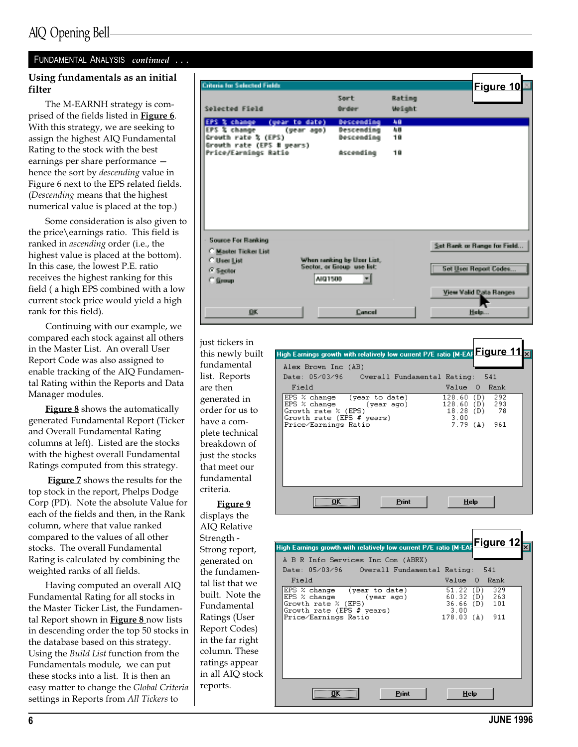#### FUNDAMENTAL ANALYSIS continued . . .

#### Using fundamentals as an initial filter

The M-EARNH strategy is comprised of the fields listed in **Figure 6**. With this strategy, we are seeking to assign the highest AIQ Fundamental Rating to the stock with the best earnings per share performance hence the sort by descending value in Figure 6 next to the EPS related fields. (Descending means that the highest numerical value is placed at the top.)

Some consideration is also given to the price\earnings ratio. This field is ranked in *ascending* order (i.e., the highest value is placed at the bottom). In this case, the lowest P.E. ratio receives the highest ranking for this field ( a high EPS combined with a low current stock price would yield a high rank for this field).

Continuing with our example, we compared each stock against all others in the Master List. An overall User Report Code was also assigned to enable tracking of the AIQ Fundamental Rating within the Reports and Data Manager modules.

Figure 8 shows the automatically generated Fundamental Report (Ticker and Overall Fundamental Rating columns at left). Listed are the stocks with the highest overall Fundamental Ratings computed from this strategy.

**Figure 7** shows the results for the top stock in the report, Phelps Dodge Corp (PD). Note the absolute Value for each of the fields and then, in the Rank column, where that value ranked compared to the values of all other stocks. The overall Fundamental Rating is calculated by combining the weighted ranks of all fields.

Having computed an overall AIQ Fundamental Rating for all stocks in the Master Ticker List, the Fundamental Report shown in **Figure 8** now lists in descending order the top 50 stocks in the database based on this strategy. Using the Build List function from the Fundamentals module, we can put these stocks into a list. It is then an easy matter to change the Global Criteria settings in Reports from All Tickers to



just tickers in this newly built fundamental list. Reports are then generated in order for us to have a complete technical breakdown of just the stocks that meet our fundamental criteria.

Figure 9 displays the AIQ Relative Strength - Strong report, generated on the fundamental list that we built. Note the Fundamental Ratings (User Report Codes) in the far right column. These ratings appear in all AIQ stock reports.

| High Earnings growth with relatively low current P/E ratio (M-EAF Figure 11                                |                                                  |     |             | k |
|------------------------------------------------------------------------------------------------------------|--------------------------------------------------|-----|-------------|---|
| Alex Brown Inc (AB)                                                                                        |                                                  |     |             |   |
| Date: 05/03/96 Overall Fundamental Rating:                                                                 |                                                  | 541 |             |   |
| Field                                                                                                      | Value O Rank                                     |     |             |   |
| EPS % change (year to date)<br>EPS % change (year ago)<br>Growth rate % (EPS)<br>Growth rate (EPS # years) | 128.60(D)<br>$128.60(D)$ 293<br>18.28(D)<br>3.00 |     | 292<br>- 78 |   |
| Price/Earnings Ratio                                                                                       | $7.79(A)$ 961                                    |     |             |   |
| <u></u><br><b>Print</b>                                                                                    | <b>Help</b>                                      |     |             |   |

| High Earnings growth with relatively low current P/E ratio (M-EAF                                             |                                                      | <u>Figure 12,</u> |  |
|---------------------------------------------------------------------------------------------------------------|------------------------------------------------------|-------------------|--|
| A B R Info Services Inc Com (ABRX)                                                                            |                                                      |                   |  |
|                                                                                                               |                                                      |                   |  |
| Field                                                                                                         | Value O Rank                                         |                   |  |
| EPS $\%$ change (year to date)<br>EPS % change (year ago)<br>Growth rate % (EPS)<br>Growth rate (EPS # years) | 51.22 (D)<br>$60.32(D)$ 263<br>36.66 (D) 101<br>3.00 | 329               |  |
| Price/Earnings Ratio                                                                                          | 178.03 (A) 911                                       |                   |  |
| Print                                                                                                         | Help                                                 |                   |  |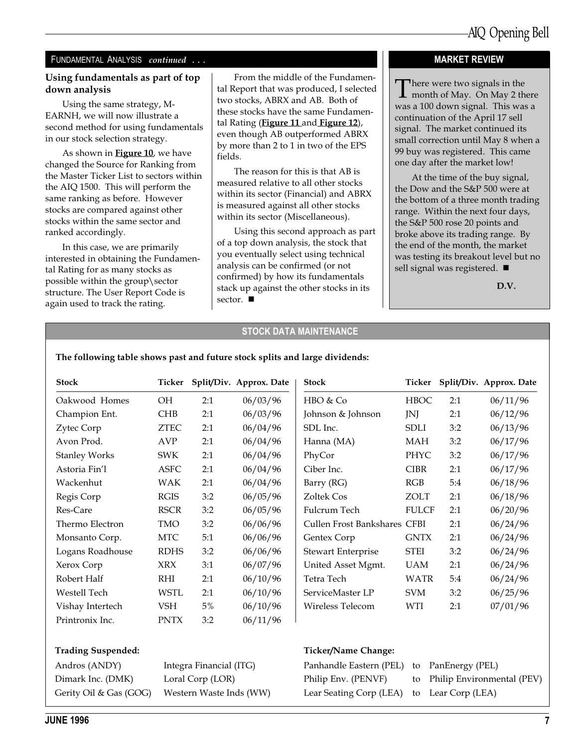#### FUNDAMENTAL ANALYSIS continued ...

#### Using fundamentals as part of top down analysis

Using the same strategy, M-EARNH, we will now illustrate a second method for using fundamentals in our stock selection strategy.

As shown in **Figure 10**, we have changed the Source for Ranking from the Master Ticker List to sectors within the AIQ 1500. This will perform the same ranking as before. However stocks are compared against other stocks within the same sector and ranked accordingly.

In this case, we are primarily interested in obtaining the Fundamental Rating for as many stocks as possible within the group\sector structure. The User Report Code is again used to track the rating.

From the middle of the Fundamental Report that was produced, I selected two stocks, ABRX and AB. Both of these stocks have the same Fundamental Rating (Figure 11 and Figure 12), even though AB outperformed ABRX by more than 2 to 1 in two of the EPS fields.

The reason for this is that AB is measured relative to all other stocks within its sector (Financial) and ABRX is measured against all other stocks within its sector (Miscellaneous).

Using this second approach as part of a top down analysis, the stock that you eventually select using technical analysis can be confirmed (or not confirmed) by how its fundamentals stack up against the other stocks in its sector.  $\blacksquare$ 

#### MARKET REVIEW

There were two signals in the<br>month of May. On May 2 there was a 100 down signal. This was a continuation of the April 17 sell signal. The market continued its small correction until May 8 when a 99 buy was registered. This came one day after the market low!

At the time of the buy signal, the Dow and the S&P 500 were at the bottom of a three month trading range. Within the next four days, the S&P 500 rose 20 points and broke above its trading range. By the end of the month, the market was testing its breakout level but no sell signal was registered.  $\blacksquare$ 

D.V.

#### STOCK DATA MAINTENANCE

| <b>Stock</b>              | Ticker      |                         | Split/Div. Approx. Date | Stock                        | Ticker       |                 | Split/Div. Approx. Date |
|---------------------------|-------------|-------------------------|-------------------------|------------------------------|--------------|-----------------|-------------------------|
| Oakwood Homes             | OH          | 2:1                     | 06/03/96                | HBO & Co                     | <b>HBOC</b>  | 2:1             | 06/11/96                |
| Champion Ent.             | <b>CHB</b>  | 2:1                     | 06/03/96                | Johnson & Johnson            | JNJ          | 2:1             | 06/12/96                |
| Zytec Corp                | <b>ZTEC</b> | 2:1                     | 06/04/96                | SDL Inc.                     | SDLI         | 3:2             | 06/13/96                |
| Avon Prod.                | AVP         | 2:1                     | 06/04/96                | Hanna (MA)                   | <b>MAH</b>   | 3:2             | 06/17/96                |
| <b>Stanley Works</b>      | <b>SWK</b>  | 2:1                     | 06/04/96                | PhyCor                       | PHYC         | 3:2             | 06/17/96                |
| Astoria Fin'l             | <b>ASFC</b> | 2:1                     | 06/04/96                | Ciber Inc.                   | <b>CIBR</b>  | 2:1             | 06/17/96                |
| Wackenhut                 | WAK         | 2:1                     | 06/04/96                | Barry (RG)                   | RGB          | 5:4             | 06/18/96                |
| Regis Corp                | <b>RGIS</b> | 3:2                     | 06/05/96                | Zoltek Cos                   | <b>ZOLT</b>  | 2:1             | 06/18/96                |
| Res-Care                  | <b>RSCR</b> | 3:2                     | 06/05/96                | Fulcrum Tech                 | <b>FULCF</b> | 2:1             | 06/20/96                |
| Thermo Electron           | <b>TMO</b>  | 3:2                     | 06/06/96                | Cullen Frost Bankshares CFBI |              | 2:1             | 06/24/96                |
| Monsanto Corp.            | <b>MTC</b>  | 5:1                     | 06/06/96                | Gentex Corp                  | <b>GNTX</b>  | 2:1             | 06/24/96                |
| Logans Roadhouse          | <b>RDHS</b> | 3:2                     | 06/06/96                | <b>Stewart Enterprise</b>    | <b>STEI</b>  | 3:2             | 06/24/96                |
| Xerox Corp                | <b>XRX</b>  | 3:1                     | 06/07/96                | United Asset Mgmt.           | <b>UAM</b>   | 2:1             | 06/24/96                |
| Robert Half               | RHI         | 2:1                     | 06/10/96                | Tetra Tech                   | <b>WATR</b>  | 5:4             | 06/24/96                |
| Westell Tech              | <b>WSTL</b> | 2:1                     | 06/10/96                | ServiceMaster LP             | <b>SVM</b>   | 3:2             | 06/25/96                |
| Vishay Intertech          | VSH         | $5\%$                   | 06/10/96                | Wireless Telecom             | WTI          | 2:1             | 07/01/96                |
| Printronix Inc.           | <b>PNTX</b> | 3:2                     | 06/11/96                |                              |              |                 |                         |
| <b>Trading Suspended:</b> |             |                         |                         | <b>Ticker/Name Change:</b>   |              |                 |                         |
| Andros (ANDY)             |             | Integra Financial (ITG) |                         | Panhandle Eastern (PEL)      | to           | PanEnergy (PEL) |                         |

#### The following table shows past and future stock splits and large dividends:

Dimark Inc. (DMK) Loral Corp (LOR)

Gerity Oil & Gas (GOG) Western Waste Inds (WW)

Philip Env. (PENVF) to Philip Environmental (PEV)

Lear Seating Corp (LEA) to Lear Corp (LEA)